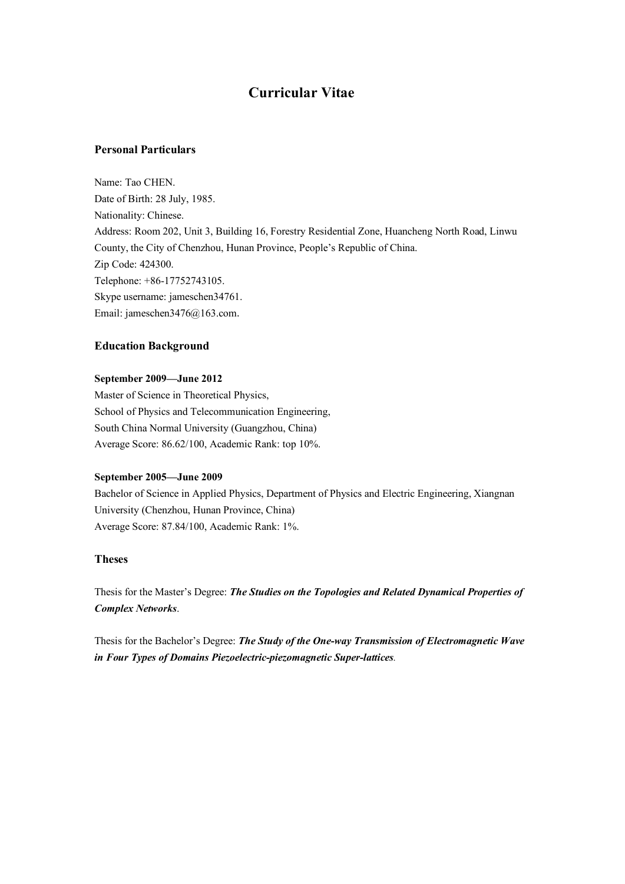# **Curricular Vitae**

# **Personal Particulars**

Name: Tao CHEN. Date of Birth: 28 July, 1985. Nationality: Chinese. Address: Room 202, Unit 3, Building 16, Forestry Residential Zone, Huancheng North Road, Linwu County, the City of Chenzhou, Hunan Province, People's Republic of China. Zip Code: 424300. Telephone: +86-17752743105. Skype username: jameschen34761. Email: jameschen3476@163.com.

### **Education Background**

### **September 2009—June 2012**

Master of Science in Theoretical Physics, School of Physics and Telecommunication Engineering, South China Normal University (Guangzhou, China) Average Score: 86.62/100, Academic Rank: top 10%.

#### **September 2005—June 2009**

Bachelor of Science in Applied Physics, Department of Physics and Electric Engineering, Xiangnan University (Chenzhou, Hunan Province, China) Average Score: 87.84/100, Academic Rank: 1%.

# **Theses**

Thesis for the Master's Degree: *The Studies on the Topologies and Related Dynamical Properties of Complex Networks*.

Thesis for the Bachelor's Degree: *The Study of the One-way Transmission of Electromagnetic Wave in Four Types of Domains Piezoelectric-piezomagnetic Super-lattices.*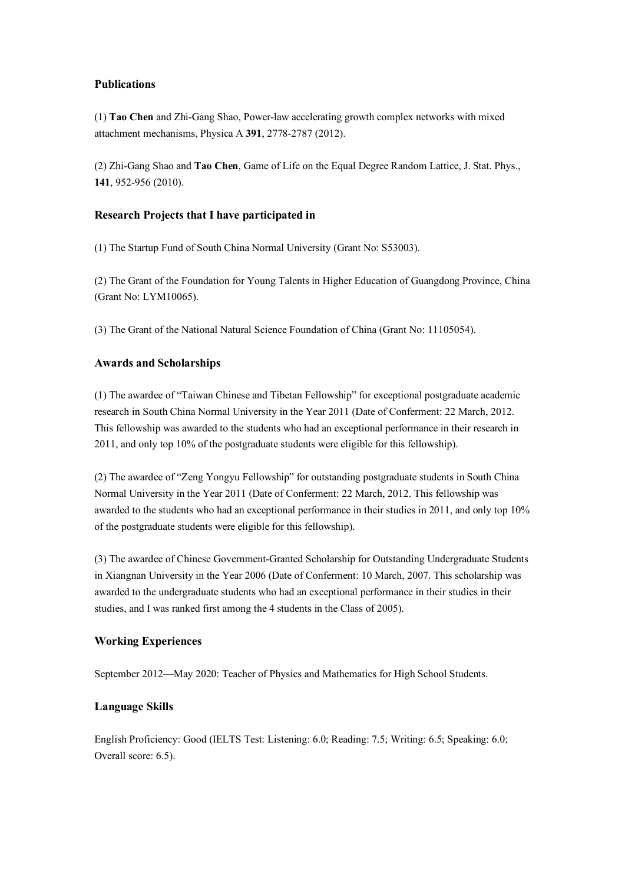# **Publications**

(1) **Tao Chen** and Zhi-Gang Shao, Power-law accelerating growth complex networks with mixed attachment mechanisms, Physica A **391**, 2778-2787 (2012).

(2) Zhi-Gang Shao and **Tao Chen**, Game of Life on the Equal Degree Random Lattice, J. Stat. Phys., **141**, 952-956 (2010).

# **Research Projects that I have participated in**

(1) The Startup Fund of South China Normal University (Grant No: S53003).

(2) The Grant of the Foundation for Young Talents in Higher Education of Guangdong Province, China (Grant No: LYM10065).

(3) The Grant of the National Natural Science Foundation of China (Grant No: 11105054).

# **Awards and Scholarships**

(1) The awardee of "Taiwan Chinese and Tibetan Fellowship" for exceptional postgraduate academic research in South China Normal University in the Year 2011 (Date of Conferment: 22 March, 2012. This fellowship was awarded to the students who had an exceptional performance in their research in 2011, and only top 10% of the postgraduate students were eligible for this fellowship).

(2) The awardee of "Zeng Yongyu Fellowship" for outstanding postgraduate students in South China Normal University in the Year 2011 (Date of Conferment: 22 March, 2012. This fellowship was awarded to the students who had an exceptional performance in their studies in 2011, and only top 10% of the postgraduate students were eligible for this fellowship).

(3) The awardee of Chinese Government-Granted Scholarship for Outstanding Undergraduate Students in Xiangnan University in the Year 2006 (Date of Conferment: 10 March, 2007. This scholarship was awarded to the undergraduate students who had an exceptional performance in their studies in their studies, and I was ranked first among the 4 students in the Class of 2005).

# **Working Experiences**

September 2012—May 2020: Teacher of Physics and Mathematics for High School Students.

# **Language Skills**

English Proficiency: Good (IELTS Test: Listening: 6.0; Reading: 7.5; Writing: 6.5; Speaking: 6.0; Overall score: 6.5).